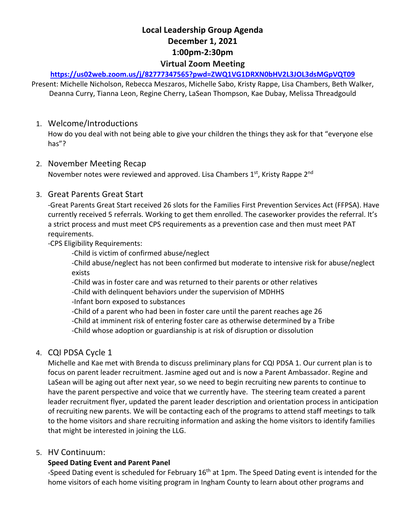# **Local Leadership Group Agenda December 1, 2021 1:00pm-2:30pm Virtual Zoom Meeting**

#### **https://us02web.zoom.us/j/82777347565?pwd=ZWQ1VG1DRXN0bHV2L3JOL3dsMGpVQT09**

Present: Michelle Nicholson, Rebecca Meszaros, Michelle Sabo, Kristy Rappe, Lisa Chambers, Beth Walker, Deanna Curry, Tianna Leon, Regine Cherry, LaSean Thompson, Kae Dubay, Melissa Threadgould

#### 1. Welcome/Introductions

How do you deal with not being able to give your children the things they ask for that "everyone else has"?

#### 2. November Meeting Recap

November notes were reviewed and approved. Lisa Chambers 1<sup>st</sup>, Kristy Rappe 2<sup>nd</sup>

#### 3. Great Parents Great Start

-Great Parents Great Start received 26 slots for the Families First Prevention Services Act (FFPSA). Have currently received 5 referrals. Working to get them enrolled. The caseworker provides the referral. It's a strict process and must meet CPS requirements as a prevention case and then must meet PAT requirements.

#### -CPS Eligibility Requirements:

-Child is victim of confirmed abuse/neglect

-Child abuse/neglect has not been confirmed but moderate to intensive risk for abuse/neglect exists

-Child was in foster care and was returned to their parents or other relatives

-Child with delinquent behaviors under the supervision of MDHHS

-Infant born exposed to substances

-Child of a parent who had been in foster care until the parent reaches age 26

-Child at imminent risk of entering foster care as otherwise determined by a Tribe

-Child whose adoption or guardianship is at risk of disruption or dissolution

### 4. CQI PDSA Cycle 1

Michelle and Kae met with Brenda to discuss preliminary plans for CQI PDSA 1. Our current plan is to focus on parent leader recruitment. Jasmine aged out and is now a Parent Ambassador. Regine and LaSean will be aging out after next year, so we need to begin recruiting new parents to continue to have the parent perspective and voice that we currently have. The steering team created a parent leader recruitment flyer, updated the parent leader description and orientation process in anticipation of recruiting new parents. We will be contacting each of the programs to attend staff meetings to talk to the home visitors and share recruiting information and asking the home visitors to identify families that might be interested in joining the LLG.

### 5. HV Continuum:

### **Speed Dating Event and Parent Panel**

-Speed Dating event is scheduled for February 16<sup>th</sup> at 1pm. The Speed Dating event is intended for the home visitors of each home visiting program in Ingham County to learn about other programs and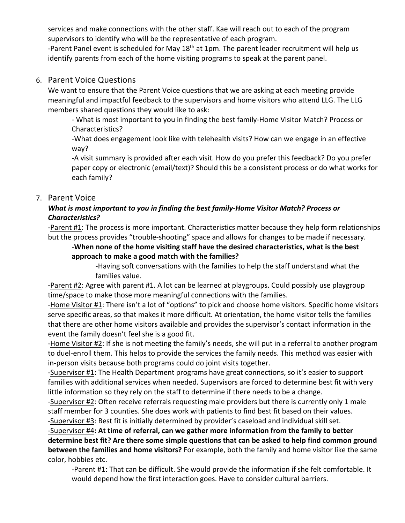services and make connections with the other staff. Kae will reach out to each of the program supervisors to identify who will be the representative of each program.

-Parent Panel event is scheduled for May 18<sup>th</sup> at 1pm. The parent leader recruitment will help us identify parents from each of the home visiting programs to speak at the parent panel.

## 6. Parent Voice Questions

We want to ensure that the Parent Voice questions that we are asking at each meeting provide meaningful and impactful feedback to the supervisors and home visitors who attend LLG. The LLG members shared questions they would like to ask:

- What is most important to you in finding the best family-Home Visitor Match? Process or Characteristics?

-What does engagement look like with telehealth visits? How can we engage in an effective way?

-A visit summary is provided after each visit. How do you prefer this feedback? Do you prefer paper copy or electronic (email/text)? Should this be a consistent process or do what works for each family?

### 7. Parent Voice

### *What is most important to you in finding the best family-Home Visitor Match? Process or Characteristics?*

-Parent #1: The process is more important. Characteristics matter because they help form relationships but the process provides "trouble-shooting" space and allows for changes to be made if necessary.

## -**When none of the home visiting staff have the desired characteristics, what is the best approach to make a good match with the families?**

-Having soft conversations with the families to help the staff understand what the families value.

-Parent #2: Agree with parent #1. A lot can be learned at playgroups. Could possibly use playgroup time/space to make those more meaningful connections with the families.

-Home Visitor #1: There isn't a lot of "options" to pick and choose home visitors. Specific home visitors serve specific areas, so that makes it more difficult. At orientation, the home visitor tells the families that there are other home visitors available and provides the supervisor's contact information in the event the family doesn't feel she is a good fit.

-Home Visitor #2: If she is not meeting the family's needs, she will put in a referral to another program to duel-enroll them. This helps to provide the services the family needs. This method was easier with in-person visits because both programs could do joint visits together.

-Supervisor #1: The Health Department programs have great connections, so it's easier to support families with additional services when needed. Supervisors are forced to determine best fit with very little information so they rely on the staff to determine if there needs to be a change.

-Supervisor #2: Often receive referrals requesting male providers but there is currently only 1 male staff member for 3 counties. She does work with patients to find best fit based on their values. -Supervisor #3: Best fit is initially determined by provider's caseload and individual skill set.

-Supervisor #4**: At time of referral, can we gather more information from the family to better determine best fit? Are there some simple questions that can be asked to help find common ground between the families and home visitors?** For example, both the family and home visitor like the same color, hobbies etc.

-Parent #1: That can be difficult. She would provide the information if she felt comfortable. It would depend how the first interaction goes. Have to consider cultural barriers.